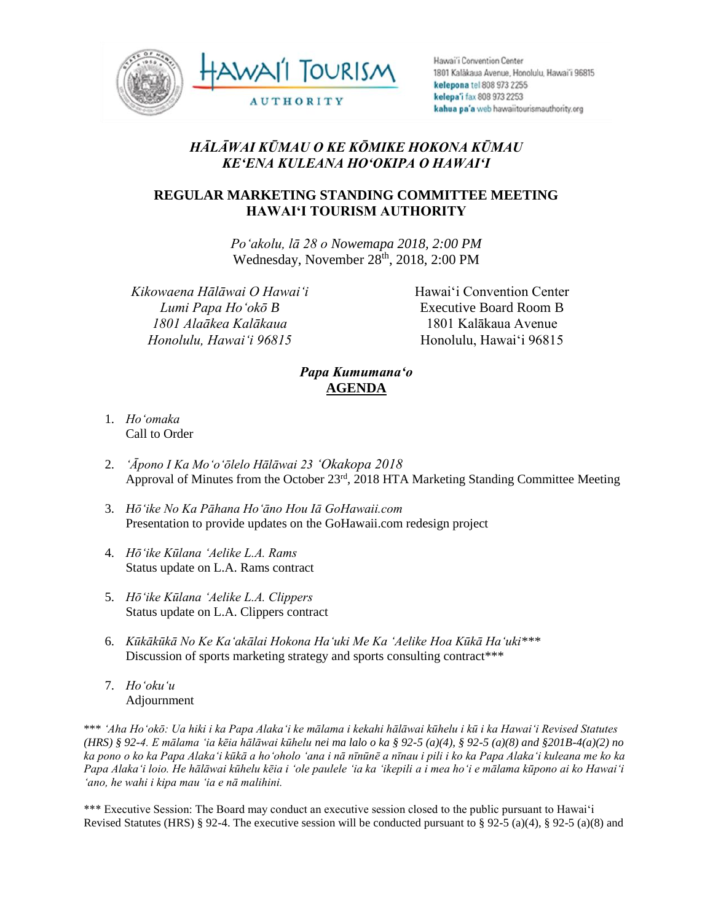

Hawai'i Convention Center 1801 Kalàkaua Avenue, Honolulu, Hawai'i 96815 kelepona tel 808 973 2255 kelepa'i fax 808 973 2253 kahua pa'a web hawaiitourismauthority.org

## *HĀLĀWAI KŪMAU O KE KŌMIKE HOKONA KŪMAU KEʻENA KULEANA HOʻOKIPA O HAWAIʻI*

## **REGULAR MARKETING STANDING COMMITTEE MEETING HAWAI'I TOURISM AUTHORITY**

*Poʻakolu, lā 28 o Nowemapa 2018, 2:00 PM* Wednesday, November 28<sup>th</sup>, 2018, 2:00 PM

*Kikowaena Hālāwai O Hawaiʻi Lumi Papa Hoʻokō B 1801 Alaākea Kalākaua Honolulu, Hawaiʻi 96815*

Hawai'i Convention Center Executive Board Room B 1801 Kalākaua Avenue Honolulu, Hawai'i 96815

## *Papa Kumumanaʻo* **AGENDA**

- 1. *Ho'omaka* Call to Order
- 2. *'Āpono I Ka Moʻoʻōlelo Hālāwai 23 ʻOkakopa 2018* Approval of Minutes from the October 23rd, 2018 HTA Marketing Standing Committee Meeting
- 3. *Hōʻike No Ka Pāhana Hoʻāno Hou Iā GoHawaii.com* Presentation to provide updates on the GoHawaii.com redesign project
- 4. *Hōʻike Kūlana ʻAelike L.A. Rams* Status update on L.A. Rams contract
- 5. *Hōʻike Kūlana ʻAelike L.A. Clippers* Status update on L.A. Clippers contract
- 6. *Kūkākūkā No Ke Kaʻakālai Hokona Haʻuki Me Ka ʻAelike Hoa Kūkā Haʻuki\*\*\** Discussion of sports marketing strategy and sports consulting contract\*\*\*
- 7. *Hoʻokuʻu* Adjournment

\*\*\* *ʻAha Hoʻokō: Ua hiki i ka Papa Alakaʻi ke mālama i kekahi hālāwai kūhelu i kū i ka Hawaiʻi Revised Statutes (HRS) § 92-4. E mālama ʻia kēia hālāwai kūhelu nei ma lalo o ka § 92-5 (a)(4), § 92-5 (a)(8) and §201B-4(a)(2) no ka pono o ko ka Papa Alakaʻi kūkā a hoʻoholo ʻana i nā nīnūnē a nīnau i pili i ko ka Papa Alakaʻi kuleana me ko ka Papa Alakaʻi loio. He hālāwai kūhelu kēia i ʻole paulele ʻia ka ʻikepili a i mea hoʻi e mālama kūpono ai ko Hawaiʻi ʻano, he wahi i kipa mau ʻia e nā malihini.*

\*\*\* Executive Session: The Board may conduct an executive session closed to the public pursuant to Hawai'i Revised Statutes (HRS) § 92-4. The executive session will be conducted pursuant to § 92-5 (a)(4), § 92-5 (a)(8) and